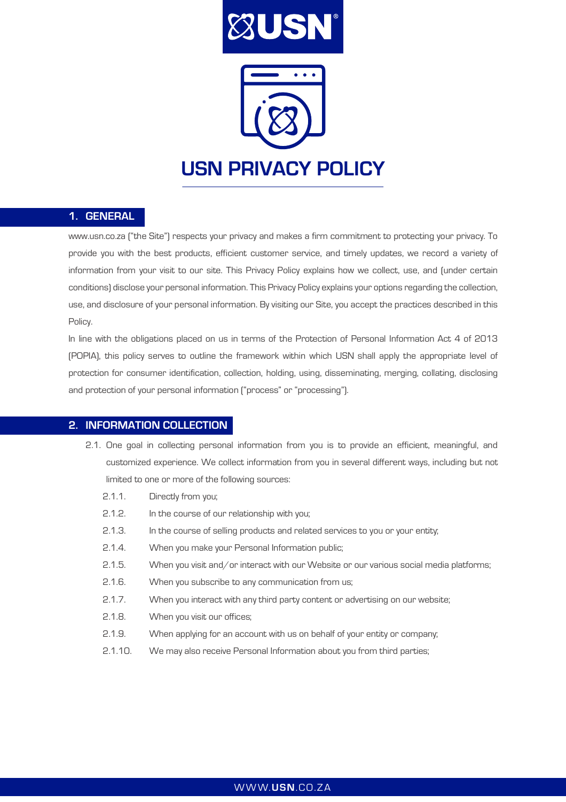

#### 1. GENERAL

www.usn.co.za ("the Site") respects your privacy and makes a firm commitment to protecting your privacy. To provide you with the best products, efficient customer service, and timely updates, we record a variety of information from your visit to our site. This Privacy Policy explains how we collect, use, and (under certain conditions) disclose your personal information. This Privacy Policy explains your options regarding the collection, use, and disclosure of your personal information. By visiting our Site, you accept the practices described in this Policy.

In line with the obligations placed on us in terms of the Protection of Personal Information Act 4 of 2013 (POPIA), this policy serves to outline the framework within which USN shall apply the appropriate level of protection for consumer identification, collection, holding, using, disseminating, merging, collating, disclosing and protection of your personal information ("process" or "processing").

#### 2. INFORMATION COLLECTION

- 2.1. One goal in collecting personal information from you is to provide an efficient, meaningful, and customized experience. We collect information from you in several different ways, including but not limited to one or more of the following sources:
	- 2.1.1. Directly from you;
	- 2.1.2. In the course of our relationship with you;
	- 2.1.3. In the course of selling products and related services to you or your entity;
	- 2.1.4. When you make your Personal Information public;
	- 2.1.5. When you visit and/or interact with our Website or our various social media platforms;
	- 2.1.6. When you subscribe to any communication from us;
	- 2.1.7. When you interact with any third party content or advertising on our website;
	- 2.1.8. When you visit our offices;
	- 2.1.9. When applying for an account with us on behalf of your entity or company;
	- 2.1.10. We may also receive Personal Information about you from third parties;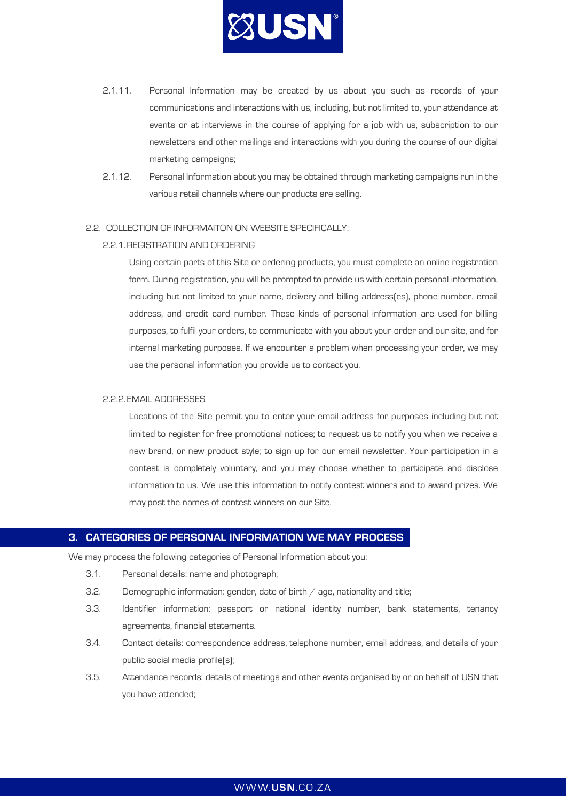

- 2.1.11. Personal Information may be created by us about you such as records of your communications and interactions with us, including, but not limited to, your attendance at events or at interviews in the course of applying for a job with us, subscription to our newsletters and other mailings and interactions with you during the course of our digital marketing campaigns;
- 2.1.12. Personal Information about you may be obtained through marketing campaigns run in the various retail channels where our products are selling.

#### 2.2. COLLECTION OF INFORMAITON ON WEBSITE SPECIFICALLY:

#### 2.2.1.REGISTRATION AND ORDERING

Using certain parts of this Site or ordering products, you must complete an online registration form. During registration, you will be prompted to provide us with certain personal information, including but not limited to your name, delivery and billing address(es), phone number, email address, and credit card number. These kinds of personal information are used for billing purposes, to fulfil your orders, to communicate with you about your order and our site, and for internal marketing purposes. If we encounter a problem when processing your order, we may use the personal information you provide us to contact you.

#### 2.2.2.EMAIL ADDRESSES

Locations of the Site permit you to enter your email address for purposes including but not limited to register for free promotional notices; to request us to notify you when we receive a new brand, or new product style; to sign up for our email newsletter. Your participation in a contest is completely voluntary, and you may choose whether to participate and disclose information to us. We use this information to notify contest winners and to award prizes. We may post the names of contest winners on our Site.

## 3. CATEGORIES OF PERSONAL INFORMATION WE MAY PROCESS

We may process the following categories of Personal Information about you:

- 3.1. Personal details: name and photograph;
- 3.2. Demographic information: gender, date of birth  $/$  age, nationality and title;
- 3.3. Identifier information: passport or national identity number, bank statements, tenancy agreements, financial statements.
- 3.4. Contact details: correspondence address, telephone number, email address, and details of your public social media profile(s);
- 3.5. Attendance records: details of meetings and other events organised by or on behalf of USN that you have attended;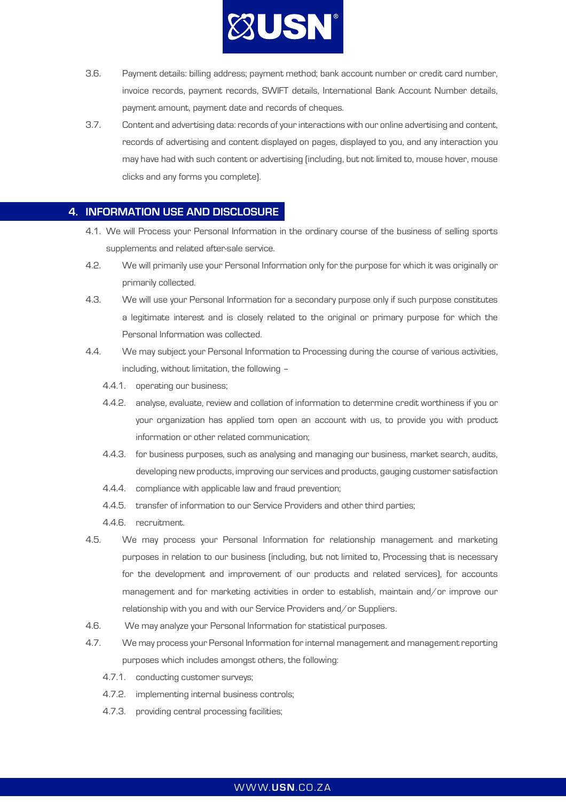

- 3.6. Payment details: billing address; payment method; bank account number or credit card number, invoice records, payment records, SWIFT details, International Bank Account Number details, payment amount, payment date and records of cheques.
- 3.7. Content and advertising data: records of your interactions with our online advertising and content, records of advertising and content displayed on pages, displayed to you, and any interaction you may have had with such content or advertising (including, but not limited to, mouse hover, mouse clicks and any forms you complete).

### 4. INFORMATION USE AND DISCLOSURE

- 4.1. We will Process your Personal Information in the ordinary course of the business of selling sports supplements and related after-sale service.
- 4.2. We will primarily use your Personal Information only for the purpose for which it was originally or primarily collected.
- 4.3. We will use your Personal Information for a secondary purpose only if such purpose constitutes a legitimate interest and is closely related to the original or primary purpose for which the Personal Information was collected.
- 4.4. We may subject your Personal Information to Processing during the course of various activities, including, without limitation, the following –
	- 4.4.1. operating our business;
	- 4.4.2. analyse, evaluate, review and collation of information to determine credit worthiness if you or your organization has applied tom open an account with us, to provide you with product information or other related communication;
	- 4.4.3. for business purposes, such as analysing and managing our business, market search, audits, developing new products, improving our services and products, gauging customer satisfaction
	- 4.4.4. compliance with applicable law and fraud prevention;
	- 4.4.5. transfer of information to our Service Providers and other third parties;
	- 4.4.6. recruitment.
- 4.5. We may process your Personal Information for relationship management and marketing purposes in relation to our business (including, but not limited to, Processing that is necessary for the development and improvement of our products and related services), for accounts management and for marketing activities in order to establish, maintain and/or improve our relationship with you and with our Service Providers and/or Suppliers.
- 4.6. We may analyze your Personal Information for statistical purposes.
- 4.7. We may process your Personal Information for internal management and management reporting purposes which includes amongst others, the following:
	- 4.7.1. conducting customer surveys;
	- 4.7.2. implementing internal business controls;
	- 4.7.3. providing central processing facilities;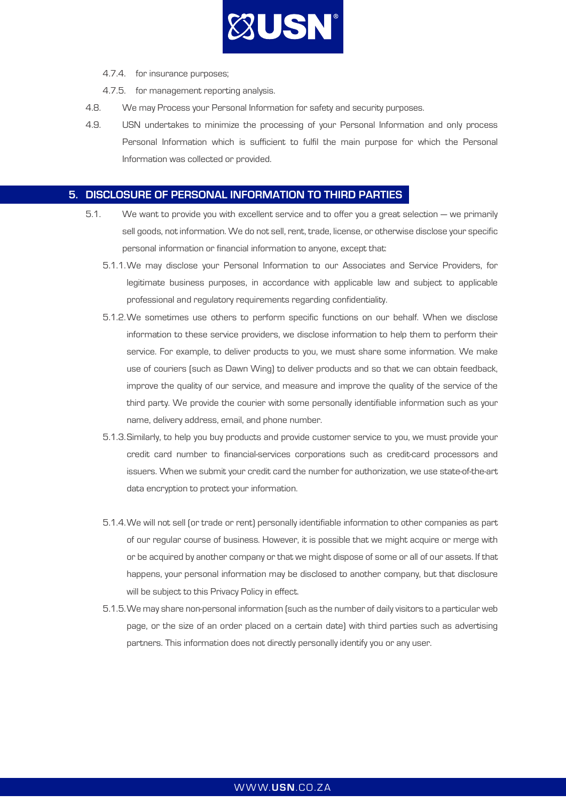

- 4.7.4. for insurance purposes;
- 4.7.5. for management reporting analysis.
- 4.8. We may Process your Personal Information for safety and security purposes.
- 4.9. USN undertakes to minimize the processing of your Personal Information and only process Personal Information which is sufficient to fulfil the main purpose for which the Personal Information was collected or provided.

## 5. DISCLOSURE OF PERSONAL INFORMATION TO THIRD PARTIES

- 5.1. We want to provide you with excellent service and to offer you a great selection we primarily sell goods, not information. We do not sell, rent, trade, license, or otherwise disclose your specific personal information or financial information to anyone, except that:
	- 5.1.1.We may disclose your Personal Information to our Associates and Service Providers, for legitimate business purposes, in accordance with applicable law and subject to applicable professional and regulatory requirements regarding confidentiality.
	- 5.1.2.We sometimes use others to perform specific functions on our behalf. When we disclose information to these service providers, we disclose information to help them to perform their service. For example, to deliver products to you, we must share some information. We make use of couriers (such as Dawn Wing) to deliver products and so that we can obtain feedback, improve the quality of our service, and measure and improve the quality of the service of the third party. We provide the courier with some personally identifiable information such as your name, delivery address, email, and phone number.
	- 5.1.3.Similarly, to help you buy products and provide customer service to you, we must provide your credit card number to financial-services corporations such as credit-card processors and issuers. When we submit your credit card the number for authorization, we use state-of-the-art data encryption to protect your information.
	- 5.1.4.We will not sell (or trade or rent) personally identifiable information to other companies as part of our regular course of business. However, it is possible that we might acquire or merge with or be acquired by another company or that we might dispose of some or all of our assets. If that happens, your personal information may be disclosed to another company, but that disclosure will be subject to this Privacy Policy in effect.
	- 5.1.5.We may share non-personal information (such as the number of daily visitors to a particular web page, or the size of an order placed on a certain date) with third parties such as advertising partners. This information does not directly personally identify you or any user.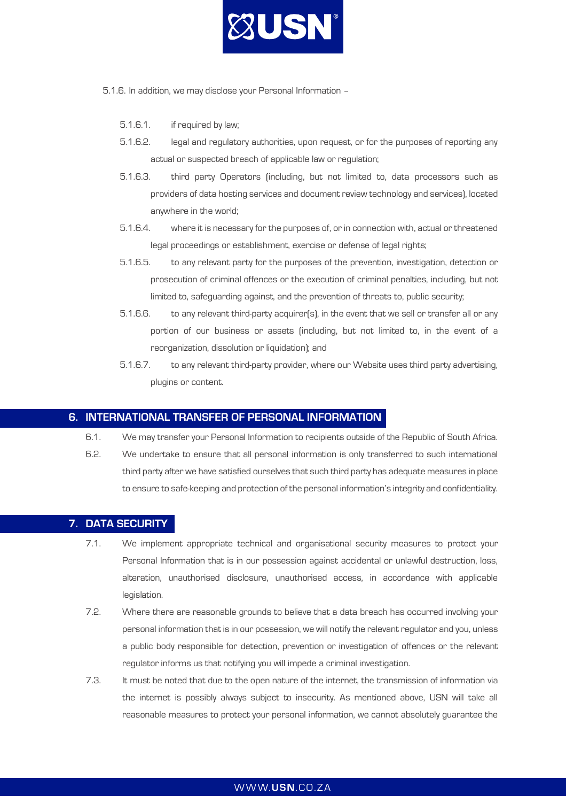

- 5.1.6. In addition, we may disclose your Personal Information
	- 5.1.6.1. if required by law;
	- 5.1.6.2. legal and regulatory authorities, upon request, or for the purposes of reporting any actual or suspected breach of applicable law or regulation;
	- 5.1.6.3. third party Operators (including, but not limited to, data processors such as providers of data hosting services and document review technology and services), located anywhere in the world;
	- 5.1.6.4. where it is necessary for the purposes of, or in connection with, actual or threatened legal proceedings or establishment, exercise or defense of legal rights;
	- 5.1.6.5. to any relevant party for the purposes of the prevention, investigation, detection or prosecution of criminal offences or the execution of criminal penalties, including, but not limited to, safeguarding against, and the prevention of threats to, public security;
	- 5.1.6.6. to any relevant third-party acquirer(s), in the event that we sell or transfer all or any portion of our business or assets (including, but not limited to, in the event of a reorganization, dissolution or liquidation); and
	- 5.1.6.7. to any relevant third-party provider, where our Website uses third party advertising, plugins or content.

## 6. INTERNATIONAL TRANSFER OF PERSONAL INFORMATION

6.1. We may transfer your Personal Information to recipients outside of the Republic of South Africa. 6.2. We undertake to ensure that all personal information is only transferred to such international third party after we have satisfied ourselves that such third party has adequate measures in place to ensure to safe-keeping and protection of the personal information's integrity and confidentiality.

## 7. DATA SECURITY

- 7.1. We implement appropriate technical and organisational security measures to protect your Personal Information that is in our possession against accidental or unlawful destruction, loss, alteration, unauthorised disclosure, unauthorised access, in accordance with applicable legislation.
- 7.2. Where there are reasonable grounds to believe that a data breach has occurred involving your personal information that is in our possession, we will notify the relevant regulator and you, unless a public body responsible for detection, prevention or investigation of offences or the relevant regulator informs us that notifying you will impede a criminal investigation.
- 7.3. It must be noted that due to the open nature of the internet, the transmission of information via the internet is possibly always subject to insecurity. As mentioned above, USN will take all reasonable measures to protect your personal information, we cannot absolutely guarantee the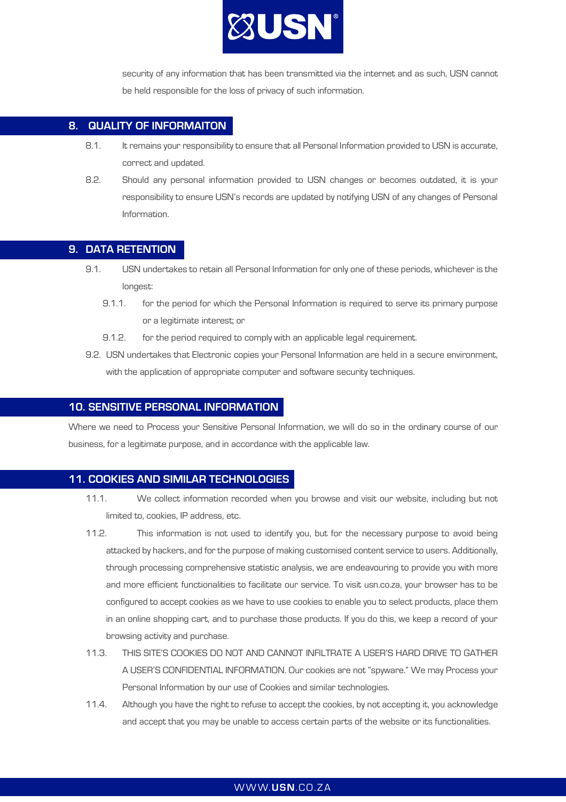

security of any information that has been transmitted via the internet and as such, USN cannot be held responsible for the loss of privacy of such information.

## 8. QUALITY OF INFORMAITON

- 8.1. It remains your responsibility to ensure that all Personal Information provided to USN is accurate, correct and updated.
- 8.2. Should any personal information provided to USN changes or becomes outdated, it is your responsibility to ensure USN's records are updated by notifying USN of any changes of Personal Information.

## 9. DATA RETENTION

- 9.1. USN undertakes to retain all Personal Information for only one of these periods, whichever is the longest:
	- 9.1.1. for the period for which the Personal Information is required to serve its primary purpose or a legitimate interest; or
	- 9.1.2. for the period required to comply with an applicable legal requirement.
- 9.2. USN undertakes that Electronic copies your Personal Information are held in a secure environment, with the application of appropriate computer and software security techniques.

## 10. SENSITIVE PERSONAL INFORMATION

Where we need to Process your Sensitive Personal Information, we will do so in the ordinary course of our business, for a legitimate purpose, and in accordance with the applicable law.

### 11. COOKIES AND SIMILAR TECHNOLOGIES

- 11.1. We collect information recorded when you browse and visit our website, including but not limited to, cookies, IP address, etc.
- 11.2. This information is not used to identify you, but for the necessary purpose to avoid being attacked by hackers, and for the purpose of making customised content service to users. Additionally, through processing comprehensive statistic analysis, we are endeavouring to provide you with more and more efficient functionalities to facilitate our service. To visit usn.co.za, your browser has to be configured to accept cookies as we have to use cookies to enable you to select products, place them in an online shopping cart, and to purchase those products. If you do this, we keep a record of your browsing activity and purchase.
- 11.3. THIS SITE'S COOKIES DO NOT AND CANNOT INFILTRATE A USER'S HARD DRIVE TO GATHER A USER'S CONFIDENTIAL INFORMATION. Our cookies are not "spyware." We may Process your Personal Information by our use of Cookies and similar technologies.
- 11.4. Although you have the right to refuse to accept the cookies, by not accepting it, you acknowledge and accept that you may be unable to access certain parts of the website or its functionalities.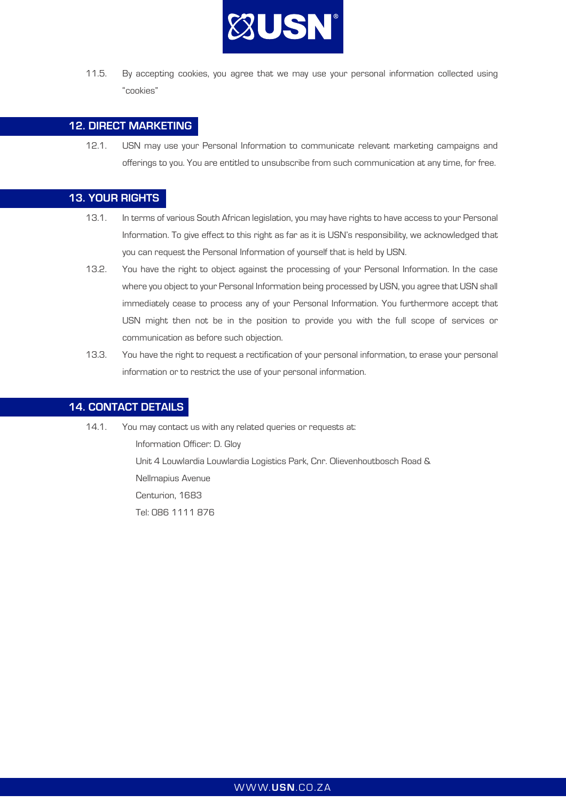

11.5. By accepting cookies, you agree that we may use your personal information collected using "cookies"

## 12. DIRECT MARKETING

12.1. USN may use your Personal Information to communicate relevant marketing campaigns and offerings to you. You are entitled to unsubscribe from such communication at any time, for free.

## 13. YOUR RIGHTS

- 13.1. In terms of various South African legislation, you may have rights to have access to your Personal Information. To give effect to this right as far as it is USN's responsibility, we acknowledged that you can request the Personal Information of yourself that is held by USN.
- 13.2. You have the right to object against the processing of your Personal Information. In the case where you object to your Personal Information being processed by USN, you agree that USN shall immediately cease to process any of your Personal Information. You furthermore accept that USN might then not be in the position to provide you with the full scope of services or communication as before such objection.
- 13.3. You have the right to request a rectification of your personal information, to erase your personal information or to restrict the use of your personal information.

## 14. CONTACT DETAILS

14.1. You may contact us with any related queries or requests at: Information Officer: D. Gloy Unit 4 Louwlardia Louwlardia Logistics Park, Cnr. Olievenhoutbosch Road & Nellmapius Avenue Centurion, 1683 Tel: 086 1111 876